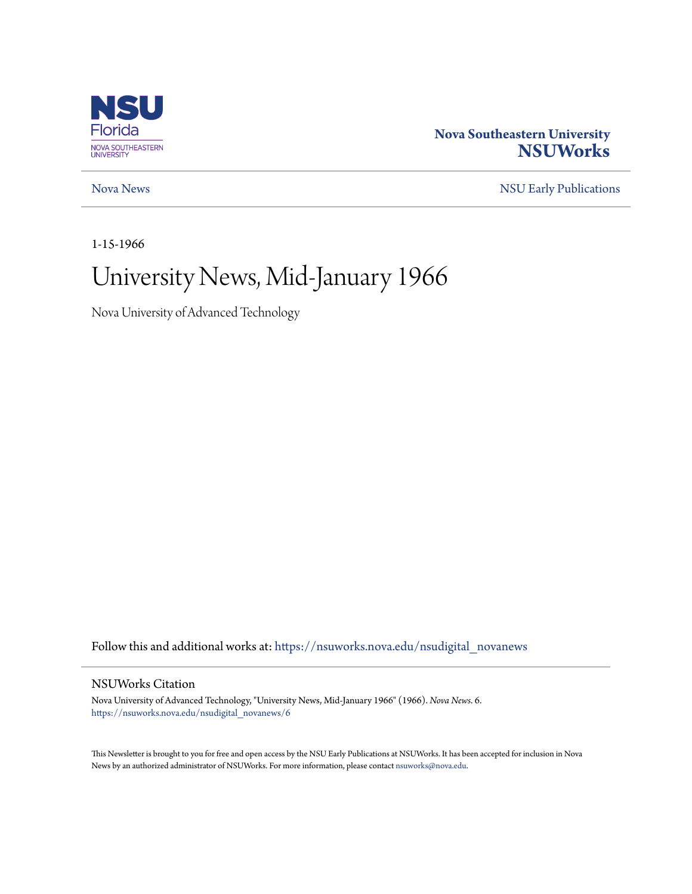

### **Nova Southeastern University [NSUWorks](https://nsuworks.nova.edu?utm_source=nsuworks.nova.edu%2Fnsudigital_novanews%2F6&utm_medium=PDF&utm_campaign=PDFCoverPages)**

[Nova News](https://nsuworks.nova.edu/nsudigital_novanews?utm_source=nsuworks.nova.edu%2Fnsudigital_novanews%2F6&utm_medium=PDF&utm_campaign=PDFCoverPages) [NSU Early Publications](https://nsuworks.nova.edu/nsudigital_earlypubs?utm_source=nsuworks.nova.edu%2Fnsudigital_novanews%2F6&utm_medium=PDF&utm_campaign=PDFCoverPages)

1-15-1966

### University News, Mid-January 1966

Nova University of Advanced Technology

Follow this and additional works at: [https://nsuworks.nova.edu/nsudigital\\_novanews](https://nsuworks.nova.edu/nsudigital_novanews?utm_source=nsuworks.nova.edu%2Fnsudigital_novanews%2F6&utm_medium=PDF&utm_campaign=PDFCoverPages)

#### NSUWorks Citation

Nova University of Advanced Technology, "University News, Mid-January 1966" (1966). *Nova News*. 6. [https://nsuworks.nova.edu/nsudigital\\_novanews/6](https://nsuworks.nova.edu/nsudigital_novanews/6?utm_source=nsuworks.nova.edu%2Fnsudigital_novanews%2F6&utm_medium=PDF&utm_campaign=PDFCoverPages)

This Newsletter is brought to you for free and open access by the NSU Early Publications at NSUWorks. It has been accepted for inclusion in Nova News by an authorized administrator of NSUWorks. For more information, please contact [nsuworks@nova.edu.](mailto:nsuworks@nova.edu)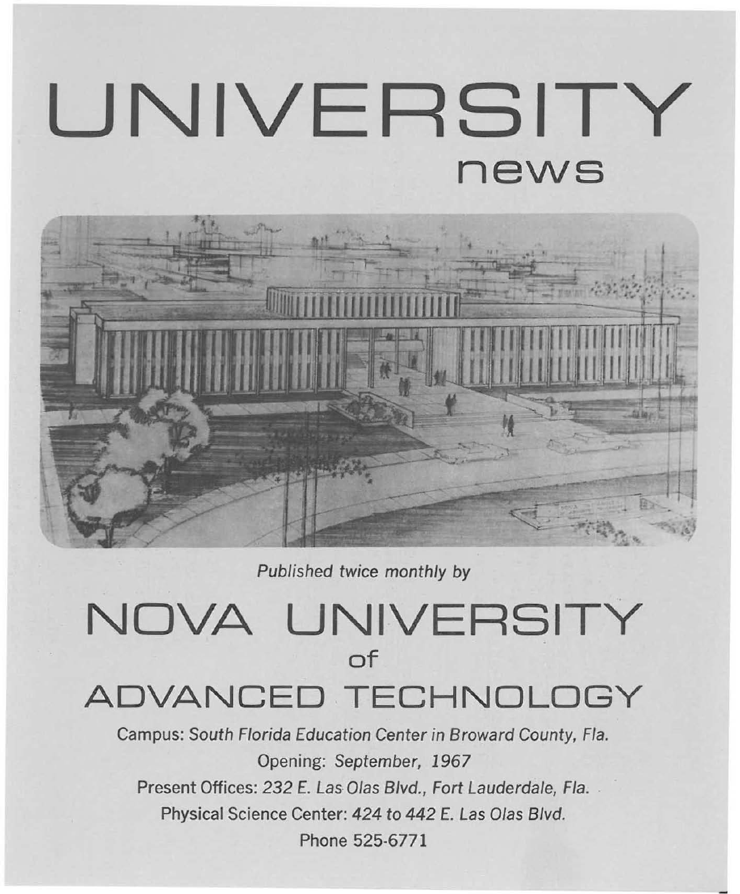# **UNIVERSITY news**



Published twice monthly by

## **NOVA UNIVERSITY of ADVANCED TECHNOLOGY**

Campus: South Florida Education Center in Broward County, Fla. Opening: September, 1967 Present Offices: 232 E. Las Olas Blvd., Fort Lauderdale, Fla. Physical Science Center: 424 to 442 E. Las Olas Blvd. Phone 525·6771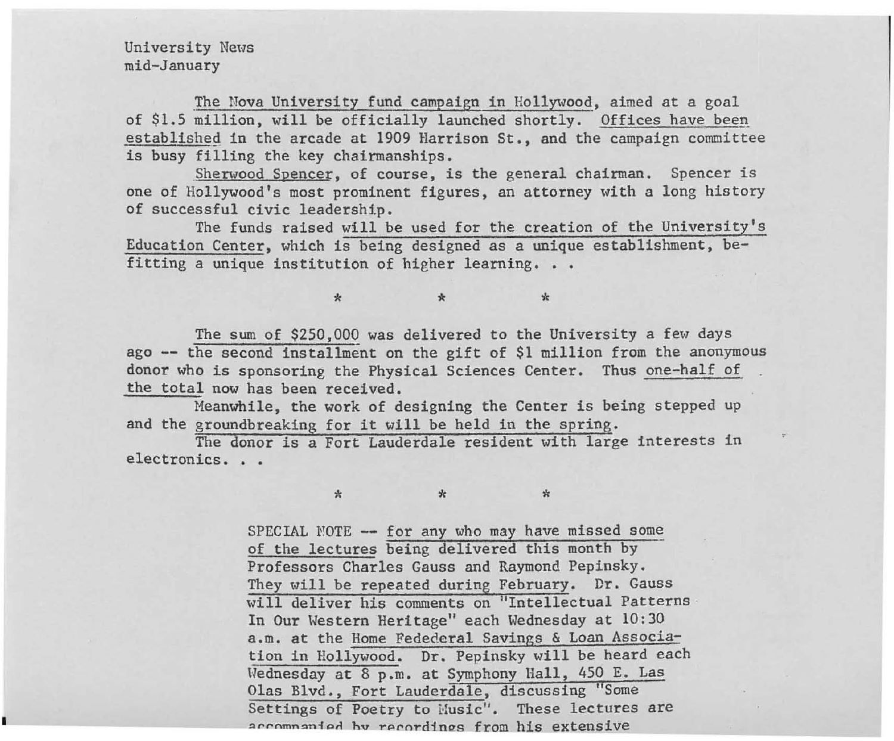University News mid-January

I

The Nova University fund campaign in Hollywood, aimed at a goal of \$1.5 million, will be officially launched shortly. Offices have been established in the arcade at 1909 Harrison St., and the campaign committee is busy filling the key chairmanships.

. Sherwood Spencer, of course, is the general chairman. Spencer is one of Hollywood's most prominent figures, an attorney with a long history of successful civic leadership.

The funds raised will be used for the creation of the University's Education Center, which is being designed as a unique establishment, befitting a unique institution of higher learning. •

The sum of \$250,000 was delivered to the University a few days ago **--** the second installment on the gift of \$1 million from the anonymous donor who is sponsoring the Physical Sciences Center. Thus one-half of the total now has been received.

\* \* \*

Meanwhile, the work of designing the Center is being stepped up and the groundbreaking for it will be held in the spring.

The donor is a Fort Lauderdale resident with large interests in electronics. . .

\* \* \*

SPECIAL NOTE -- for any who may have missed some of the lectures being delivered this month by Professors Charles Gauss and Raymond Pepinsky. They will be repeated during February. Dr. Gauss will deliver his comments on "Intellectual Patterns · In Our Western Heritage" each Wednesday at 10:30 a.m. at the Home Fedederal Savings & Loan Association in Hollywood. Dr. Pepinsky will be heard each Uednesday at 8 p.m. at Symphony Hall, 450 E. Las Olas Blvd., Fort Lauderdale, discussing "Some Settings of Poetry to Husic". These lectures are accompanied by recordings from his extensive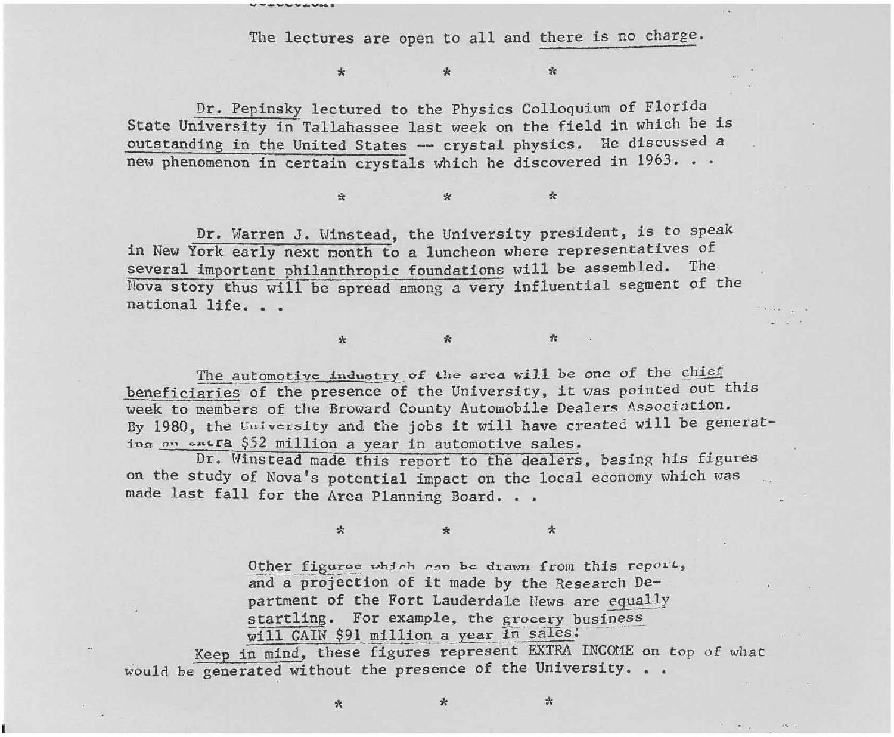The lectures are open to all and there is no charge.

 $\star$   $\star$   $\star$ 

 $\ddot{x}$   $\ddot{x}$ 

Dr. Pepinsky lectured to the Physics Colloquium of Florida State University in "Tallahassee last week on the field in which he is outstanding in the United States -- crystal physics. He discussed a new phenomenon in certain crystals which he discovered in 1963. . .

**UWANG WAS** 

Dr. Warren J. Winstead, the University president, is to speak in New York early next month to a luncheon where representatives of several important philanthropic foundations will be assembled. The !lova story thus will be spread among a very influential segment of the national life. . .

The automotive industry of the area will be one of the chief beneficiaries of the presence of the University, it was pointed out this week to members of the Broward County Automobile Dealers *Association.*  By 1980, the University and the jobs it will have created will be generating an entra \$52 million a year in automotive sales.

 $*$  .  $*$ 

Dr. Winstead made this report to the dealers, basing his figures on the study of Nova's potential impact on the local economy which was made last fall for the Area Planning Board. . .

 $\ddot{x}$   $\ddot{x}$ 

**Other \_ figuroc** ~h5 **t"h r.!ln** *he.* **dt"aWfl from this repol.** *L,*  and a projection of **it** made by the Research Department of the Fort Lauderdale News are equally startling. For example, the grocery business  $w111$  GAIN \$91 million a year in sales;

Keep in mind, these figures represent EXTRA INCOME on top of what would be generated without the presence of the University. . .

 $*$   $*$   $*$